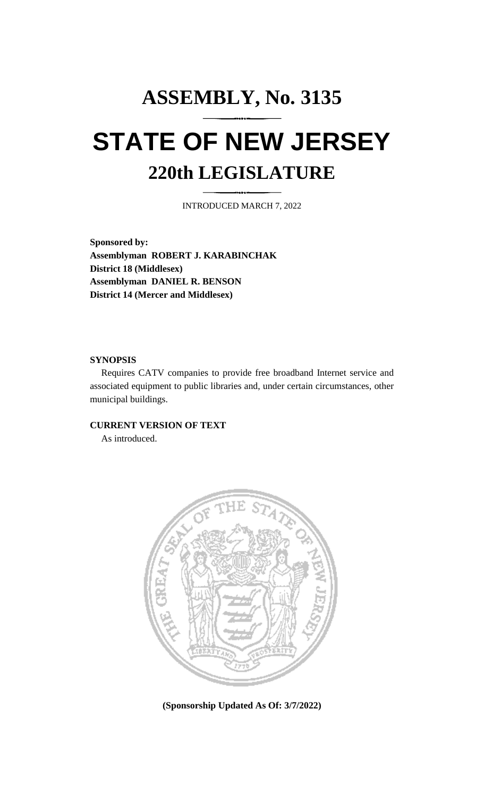# **ASSEMBLY, No. 3135 STATE OF NEW JERSEY 220th LEGISLATURE**

INTRODUCED MARCH 7, 2022

**Sponsored by: Assemblyman ROBERT J. KARABINCHAK District 18 (Middlesex) Assemblyman DANIEL R. BENSON District 14 (Mercer and Middlesex)**

## **SYNOPSIS**

Requires CATV companies to provide free broadband Internet service and associated equipment to public libraries and, under certain circumstances, other municipal buildings.

## **CURRENT VERSION OF TEXT**

As introduced.



**(Sponsorship Updated As Of: 3/7/2022)**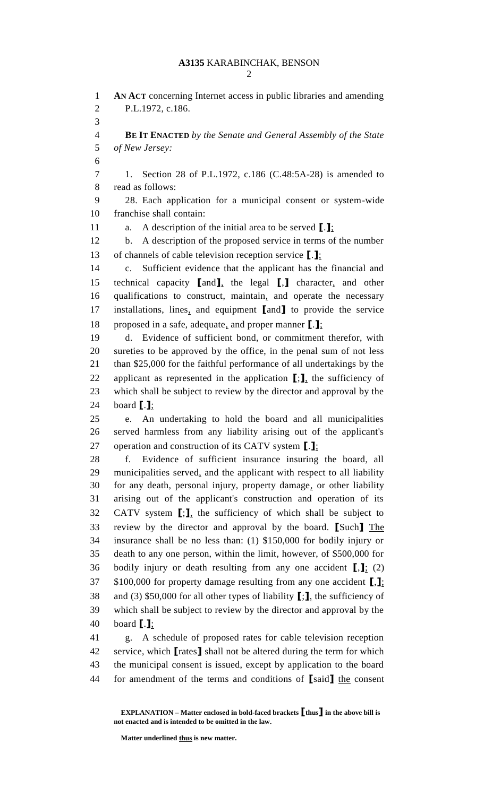## **A3135** KARABINCHAK, BENSON

 **AN ACT** concerning Internet access in public libraries and amending P.L.1972, c.186. **BE IT ENACTED** *by the Senate and General Assembly of the State of New Jersey:* 1. Section 28 of P.L.1972, c.186 (C.48:5A-28) is amended to read as follows: 28. Each application for a municipal consent or system-wide franchise shall contain: a. A description of the initial area to be served **[**.**]**; b. A description of the proposed service in terms of the number of channels of cable television reception service **[**.**]**; c. Sufficient evidence that the applicant has the financial and technical capacity **[**and**]**, the legal **[**,**]** character, and other qualifications to construct, maintain, and operate the necessary installations, lines, and equipment **[**and**]** to provide the service proposed in a safe, adequate, and proper manner **[**.**]**; d. Evidence of sufficient bond, or commitment therefor, with sureties to be approved by the office, in the penal sum of not less than \$25,000 for the faithful performance of all undertakings by the applicant as represented in the application **[**;**]**, the sufficiency of which shall be subject to review by the director and approval by the board **[**.**]**; e. An undertaking to hold the board and all municipalities served harmless from any liability arising out of the applicant's operation and construction of its CATV system **[**.**]**; f. Evidence of sufficient insurance insuring the board, all municipalities served, and the applicant with respect to all liability for any death, personal injury, property damage, or other liability arising out of the applicant's construction and operation of its CATV system **[**;**]**, the sufficiency of which shall be subject to review by the director and approval by the board. **[**Such**]** The insurance shall be no less than: (1) \$150,000 for bodily injury or death to any one person, within the limit, however, of \$500,000 for bodily injury or death resulting from any one accident **[**,**]**; (2) \$100,000 for property damage resulting from any one accident **[**,**]**; and (3) \$50,000 for all other types of liability **[**;**]**, the sufficiency of which shall be subject to review by the director and approval by the board **[**.**]**; g. A schedule of proposed rates for cable television reception service, which **[**rates**]** shall not be altered during the term for which the municipal consent is issued, except by application to the board

for amendment of the terms and conditions of **[**said**]** the consent

**EXPLANATION – Matter enclosed in bold-faced brackets [thus] in the above bill is not enacted and is intended to be omitted in the law.**

**Matter underlined thus is new matter.**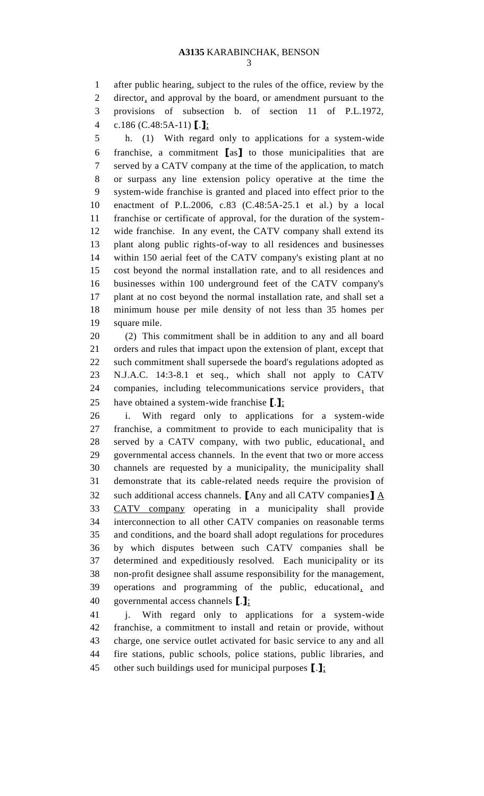after public hearing, subject to the rules of the office, review by the director, and approval by the board, or amendment pursuant to the provisions of subsection b. of section 11 of P.L.1972, c.186 (C.48:5A-11) **[**.**]**;

 h. (1) With regard only to applications for a system-wide franchise, a commitment **[**as**]** to those municipalities that are served by a CATV company at the time of the application, to match or surpass any line extension policy operative at the time the system-wide franchise is granted and placed into effect prior to the enactment of P.L.2006, c.83 (C.48:5A-25.1 et al.) by a local franchise or certificate of approval, for the duration of the system- wide franchise. In any event, the CATV company shall extend its plant along public rights-of-way to all residences and businesses within 150 aerial feet of the CATV company's existing plant at no cost beyond the normal installation rate, and to all residences and businesses within 100 underground feet of the CATV company's plant at no cost beyond the normal installation rate, and shall set a minimum house per mile density of not less than 35 homes per square mile.

 (2) This commitment shall be in addition to any and all board orders and rules that impact upon the extension of plant, except that such commitment shall supersede the board's regulations adopted as N.J.A.C. 14:3-8.1 et seq., which shall not apply to CATV companies, including telecommunications service providers, that have obtained a system-wide franchise **[**.**]**;

 i. With regard only to applications for a system-wide franchise, a commitment to provide to each municipality that is served by a CATV company, with two public, educational, and governmental access channels. In the event that two or more access channels are requested by a municipality, the municipality shall demonstrate that its cable-related needs require the provision of such additional access channels. **[**Any and all CATV companies**]** A CATV company operating in a municipality shall provide interconnection to all other CATV companies on reasonable terms and conditions, and the board shall adopt regulations for procedures by which disputes between such CATV companies shall be determined and expeditiously resolved. Each municipality or its non-profit designee shall assume responsibility for the management, operations and programming of the public, educational, and governmental access channels **[**.**]**;

 j. With regard only to applications for a system-wide franchise, a commitment to install and retain or provide, without charge, one service outlet activated for basic service to any and all fire stations, public schools, police stations, public libraries, and other such buildings used for municipal purposes **[**.**]**;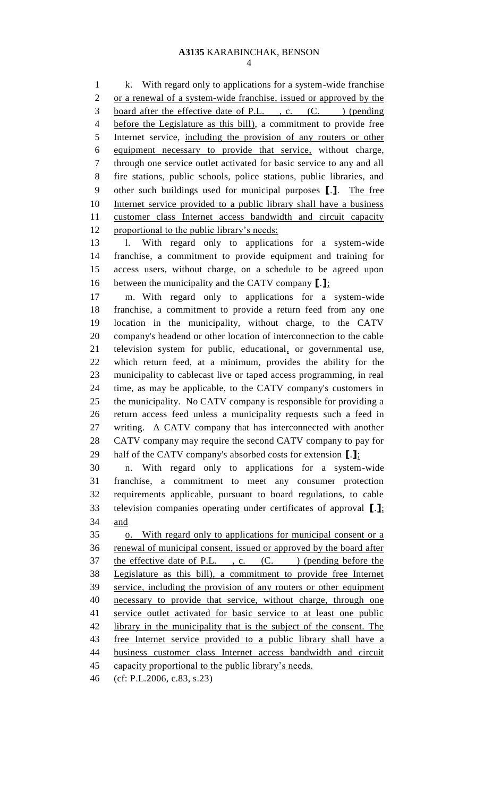k. With regard only to applications for a system-wide franchise or a renewal of a system-wide franchise, issued or approved by the 3 board after the effective date of P.L., c. (C. ) (pending before the Legislature as this bill), a commitment to provide free Internet service, including the provision of any routers or other equipment necessary to provide that service, without charge, through one service outlet activated for basic service to any and all fire stations, public schools, police stations, public libraries, and other such buildings used for municipal purposes **[**.**]**. The free Internet service provided to a public library shall have a business customer class Internet access bandwidth and circuit capacity proportional to the public library's needs;

 l. With regard only to applications for a system-wide franchise, a commitment to provide equipment and training for access users, without charge, on a schedule to be agreed upon between the municipality and the CATV company **[**.**]**;

 m. With regard only to applications for a system-wide franchise, a commitment to provide a return feed from any one location in the municipality, without charge, to the CATV company's headend or other location of interconnection to the cable television system for public, educational, or governmental use, which return feed, at a minimum, provides the ability for the municipality to cablecast live or taped access programming, in real time, as may be applicable, to the CATV company's customers in the municipality. No CATV company is responsible for providing a return access feed unless a municipality requests such a feed in writing. A CATV company that has interconnected with another CATV company may require the second CATV company to pay for half of the CATV company's absorbed costs for extension **[**.**]**;

 n. With regard only to applications for a system-wide franchise, a commitment to meet any consumer protection requirements applicable, pursuant to board regulations, to cable television companies operating under certificates of approval **[**.**]**; and

 o. With regard only to applications for municipal consent or a 36 renewal of municipal consent, issued or approved by the board after 37 the effective date of P.L., c. (C.) (pending before the Legislature as this bill), a commitment to provide free Internet service, including the provision of any routers or other equipment necessary to provide that service, without charge, through one 41 service outlet activated for basic service to at least one public library in the municipality that is the subject of the consent. The free Internet service provided to a public library shall have a business customer class Internet access bandwidth and circuit capacity proportional to the public library's needs.

(cf: P.L.2006, c.83, s.23)